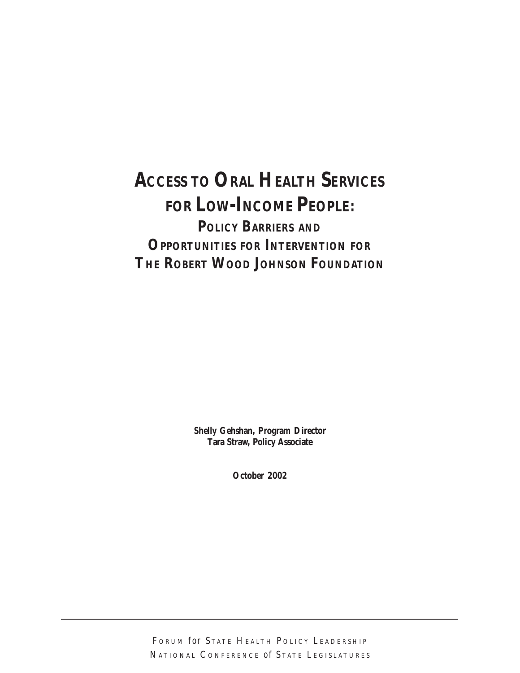# **ACCESS TO ORAL HEALTH SERVICES FOR LOW-INCOME PEOPLE: POLICY BARRIERS AND OPPORTUNITIES FOR INTERVENTION FOR THE ROBERT WOOD JOHNSON FOUNDATION**

**Shelly Gehshan, Program Director Tara Straw, Policy Associate**

**October 2002**

FORUM *for* STATE HEALTH POLICY LEADERSHIP NATIONAL CONFERENCE *of* STATE LEGISLATURES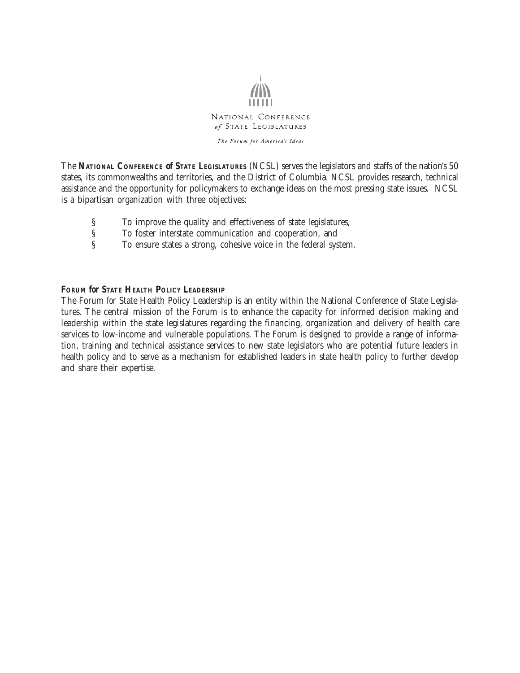

The Forum for America's Ideas

The **NATIONAL CONFERENCE** *of* **STATE LEGISLATURES** (NCSL) serves the legislators and staffs of the nation's 50 states, its commonwealths and territories, and the District of Columbia. NCSL provides research, technical assistance and the opportunity for policymakers to exchange ideas on the most pressing state issues. NCSL is a bipartisan organization with three objectives:

- 
- § To improve the quality and effectiveness of state legislatures, To foster interstate communication and cooperation, and
- § To ensure states a strong, cohesive voice in the federal system.

#### **FORUM** *for* **STATE HEALTH POLICY LEADERSHIP**

The Forum *for* State Health Policy Leadership is an entity within the National Conference *of* State Legislatures. The central mission of the Forum is to enhance the capacity for informed decision making and leadership within the state legislatures regarding the financing, organization and delivery of health care services to low-income and vulnerable populations. The Forum is designed to provide a range of information, training and technical assistance services to new state legislators who are potential future leaders in health policy and to serve as a mechanism for established leaders in state health policy to further develop and share their expertise.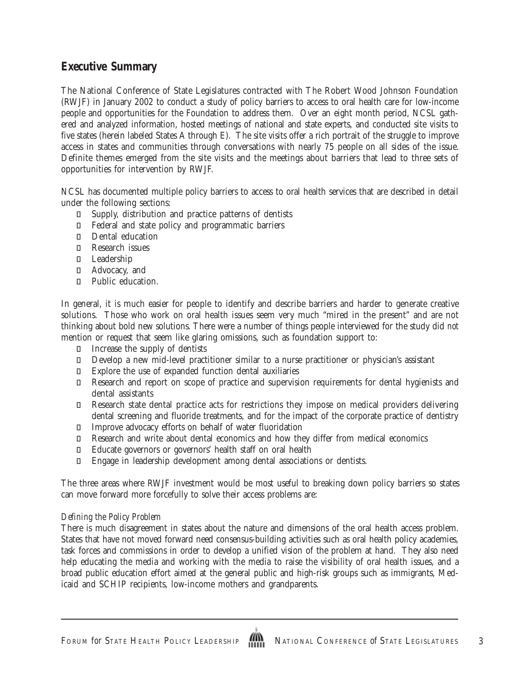### **Executive Summary**

The National Conference of State Legislatures contracted with The Robert Wood Johnson Foundation (RWJF) in January 2002 to conduct a study of policy barriers to access to oral health care for low-income people and opportunities for the Foundation to address them. Over an eight month period, NCSL gathered and analyzed information, hosted meetings of national and state experts, and conducted site visits to five states (herein labeled States A through E). The site visits offer a rich portrait of the struggle to improve access in states and communities through conversations with nearly 75 people on all sides of the issue. Definite themes emerged from the site visits and the meetings about barriers that lead to three sets of opportunities for intervention by RWJF.

NCSL has documented multiple policy barriers to access to oral health services that are described in detail under the following sections:

 Supply, distribution and practice patterns of dentists Federal and state policy and programmatic barriers Dental education Research issues Leadership Advocacy, and Public education.

In general, it is much easier for people to identify and describe barriers and harder to generate creative solutions. Those who work on oral health issues seem very much "mired in the present" and are not thinking about bold new solutions. There were a number of things people interviewed for the study did *not* mention or request that seem like glaring omissions, such as foundation support to:

Increase the supply of dentists

 Develop a new mid-level practitioner similar to a nurse practitioner or physician's assistant Explore the use of expanded function dental auxiliaries

 Research and report on scope of practice and supervision requirements for dental hygienists and dental assistants

 Research state dental practice acts for restrictions they impose on medical providers delivering dental screening and fluoride treatments, and for the impact of the corporate practice of dentistry Improve advocacy efforts on behalf of water fluoridation

 Research and write about dental economics and how they differ from medical economics Educate governors or governors' health staff on oral health

Engage in leadership development among dental associations or dentists.

The three areas where RWJF investment would be most useful to breaking down policy barriers so states can move forward more forcefully to solve their access problems are:

#### *Defining the Policy Problem*

There is much disagreement in states about the nature and dimensions of the oral health access problem. States that have not moved forward need consensus-building activities such as oral health policy academies, task forces and commissions in order to develop a unified vision of the problem at hand. They also need help educating the media and working with the media to raise the visibility of oral health issues, and a broad public education effort aimed at the general public and high-risk groups such as immigrants, Medicaid and SCHIP recipients, low-income mothers and grandparents.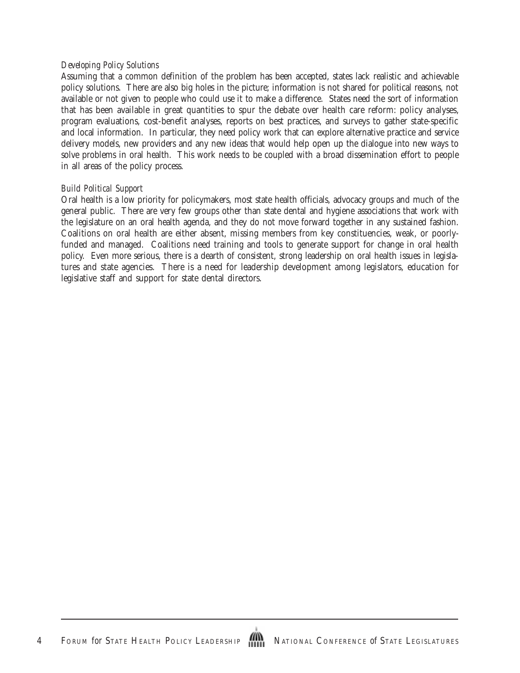#### *Developing Policy Solutions*

Assuming that a common definition of the problem has been accepted, states lack realistic and achievable policy solutions. There are also big holes in the picture; information is not shared for political reasons, not available or not given to people who could use it to make a difference. States need the sort of information that has been available in great quantities to spur the debate over health care reform: policy analyses, program evaluations, cost-benefit analyses, reports on best practices, and surveys to gather state-specific and local information. In particular, they need policy work that can explore alternative practice and service delivery models, new providers and any new ideas that would help open up the dialogue into new ways to solve problems in oral health. This work needs to be coupled with a broad dissemination effort to people in all areas of the policy process.

#### *Build Political Support*

Oral health is a low priority for policymakers, most state health officials, advocacy groups and much of the general public. There are very few groups other than state dental and hygiene associations that work with the legislature on an oral health agenda, and they do not move forward together in any sustained fashion. Coalitions on oral health are either absent, missing members from key constituencies, weak, or poorlyfunded and managed. Coalitions need training and tools to generate support for change in oral health policy. Even more serious, there is a dearth of consistent, strong leadership on oral health issues in legislatures and state agencies. There is a need for leadership development among legislators, education for legislative staff and support for state dental directors.

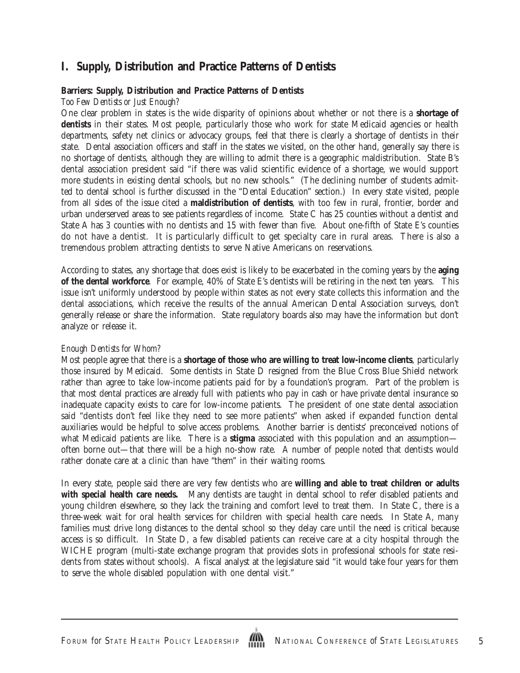# **I. Supply, Distribution and Practice Patterns of Dentists**

### **Barriers: Supply, Distribution and Practice Patterns of Dentists**

#### *Too Few Dentists or Just Enough?*

One clear problem in states is the wide disparity of opinions about whether or not there is a **shortage of dentists** in their states. Most people, particularly those who work for state Medicaid agencies or health departments, safety net clinics or advocacy groups, feel that there is clearly a shortage of dentists in their state. Dental association officers and staff in the states we visited, on the other hand, generally say there is no shortage of dentists, although they are willing to admit there is a geographic maldistribution. State B's dental association president said "if there was valid scientific evidence of a shortage, we would support more students in existing dental schools, but no new schools." (The declining number of students admitted to dental school is further discussed in the "Dental Education" section.) In every state visited, people from all sides of the issue cited a **maldistribution of dentists**, with too few in rural, frontier, border and urban underserved areas to see patients regardless of income. State C has 25 counties without a dentist and State A has 3 counties with no dentists and 15 with fewer than five. About one-fifth of State E's counties do not have a dentist. It is particularly difficult to get specialty care in rural areas. There is also a tremendous problem attracting dentists to serve Native Americans on reservations.

According to states, any shortage that does exist is likely to be exacerbated in the coming years by the **aging of the dental workforce**. For example, 40% of State E's dentists will be retiring in the next ten years. This issue isn't uniformly understood by people within states as not every state collects this information and the dental associations, which receive the results of the annual American Dental Association surveys, don't generally release or share the information. State regulatory boards also may have the information but don't analyze or release it.

#### *Enough Dentists for Whom?*

Most people agree that there is a **shortage of those who are willing to treat low-income clients**, particularly those insured by Medicaid. Some dentists in State D resigned from the Blue Cross Blue Shield network rather than agree to take low-income patients paid for by a foundation's program. Part of the problem is that most dental practices are already full with patients who pay in cash or have private dental insurance so inadequate capacity exists to care for low-income patients. The president of one state dental association said "dentists don't feel like they need to see more patients" when asked if expanded function dental auxiliaries would be helpful to solve access problems. Another barrier is dentists' preconceived notions of what Medicaid patients are like. There is a **stigma** associated with this population and an assumption often borne out—that there will be a high no-show rate. A number of people noted that dentists would rather donate care at a clinic than have "them" in their waiting rooms.

In every state, people said there are very few dentists who are **willing and able to treat children or adults with special health care needs.** Many dentists are taught in dental school to refer disabled patients and young children elsewhere, so they lack the training and comfort level to treat them. In State C, there is a three-week wait for oral health services for children with special health care needs. In State A, many families must drive long distances to the dental school so they delay care until the need is critical because access is so difficult. In State D, a few disabled patients can receive care at a city hospital through the WICHE program (multi-state exchange program that provides slots in professional schools for state residents from states without schools). A fiscal analyst at the legislature said "it would take four years for them to serve the whole disabled population with one dental visit."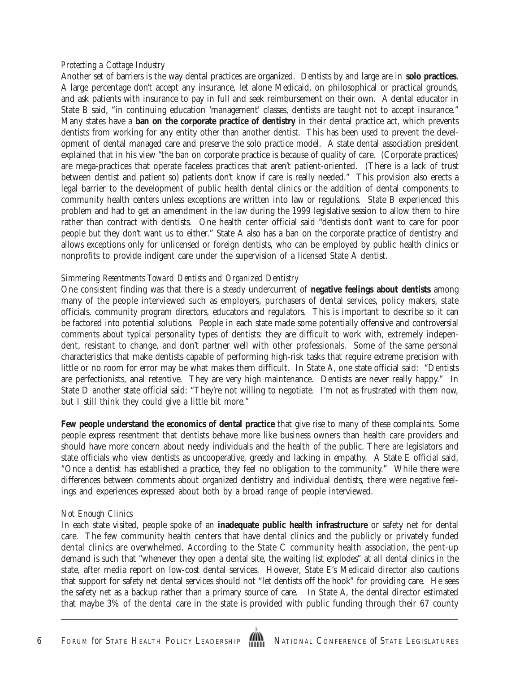#### *Protecting a Cottage Industry*

Another set of barriers is the way dental practices are organized. Dentists by and large are in **solo practices**. A large percentage don't accept any insurance, let alone Medicaid, on philosophical or practical grounds, and ask patients with insurance to pay in full and seek reimbursement on their own. A dental educator in State B said, "in continuing education 'management' classes, dentists are taught not to accept insurance." Many states have a **ban on the corporate practice of dentistry** in their dental practice act, which prevents dentists from working for any entity other than another dentist. This has been used to prevent the development of dental managed care and preserve the solo practice model. A state dental association president explained that in his view "the ban on corporate practice is because of quality of care. (Corporate practices) are mega-practices that operate faceless practices that aren't patient-oriented. (There is a lack of trust between dentist and patient so) patients don't know if care is really needed." This provision also erects a legal barrier to the development of public health dental clinics or the addition of dental components to community health centers unless exceptions are written into law or regulations. State B experienced this problem and had to get an amendment in the law during the 1999 legislative session to allow them to hire rather than contract with dentists. One health center official said "dentists don't want to care for poor people but they don't want us to either." State A also has a ban on the corporate practice of dentistry and allows exceptions only for unlicensed or foreign dentists, who can be employed by public health clinics or nonprofits to provide indigent care under the supervision of a licensed State A dentist.

#### *Simmering Resentments Toward Dentists and Organized Dentistry*

One consistent finding was that there is a steady undercurrent of **negative feelings about dentists** among many of the people interviewed such as employers, purchasers of dental services, policy makers, state officials, community program directors, educators and regulators. This is important to describe so it can be factored into potential solutions. People in each state made some potentially offensive and controversial comments about typical personality types of dentists: they are difficult to work with, extremely independent, resistant to change, and don't partner well with other professionals. Some of the same personal characteristics that make dentists capable of performing high-risk tasks that require extreme precision with little or no room for error may be what makes them difficult. In State A, one state official said: "Dentists are perfectionists, anal retentive. They are very high maintenance. Dentists are never really happy." In State D another state official said: "They're not willing to negotiate. I'm not as frustrated with them now, but I still think they could give a little bit more."

**Few people understand the economics of dental practice** that give rise to many of these complaints. Some people express resentment that dentists behave more like business owners than health care providers and should have more concern about needy individuals and the health of the public. There are legislators and state officials who view dentists as uncooperative, greedy and lacking in empathy. A State E official said, "Once a dentist has established a practice, they feel no obligation to the community." While there were differences between comments about organized dentistry and individual dentists, there were negative feelings and experiences expressed about both by a broad range of people interviewed.

#### *Not Enough Clinics*

In each state visited, people spoke of an **inadequate public health infrastructure** or safety net for dental care. The few community health centers that have dental clinics and the publicly or privately funded dental clinics are overwhelmed. According to the State C community health association, the pent-up demand is such that "whenever they open a dental site, the waiting list explodes" at *all* dental clinics in the state, after media report on low-cost dental services. However, State E's Medicaid director also cautions that support for safety net dental services should not "let dentists off the hook" for providing care. He sees the safety net as a backup rather than a primary source of care. In State A, the dental director estimated that maybe 3% of the dental care in the state is provided with public funding through their 67 county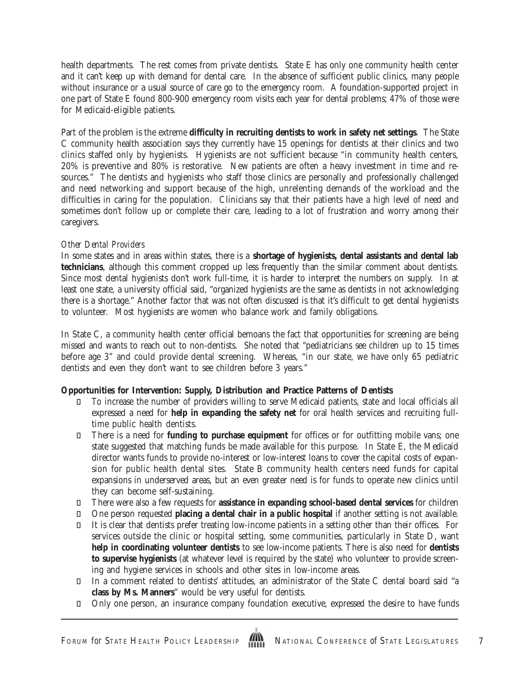health departments. The rest comes from private dentists. State E has only one community health center and it can't keep up with demand for dental care. In the absence of sufficient public clinics, many people without insurance or a usual source of care go to the emergency room. A foundation-supported project in one part of State E found 800-900 emergency room visits each year for dental problems; 47% of those were for Medicaid-eligible patients.

Part of the problem is the extreme **difficulty in recruiting dentists to work in safety net settings**. The State C community health association says they currently have 15 openings for dentists at their clinics and two clinics staffed only by hygienists. Hygienists are not sufficient because "in community health centers, 20% is preventive and 80% is restorative. New patients are often a heavy investment in time and resources." The dentists and hygienists who staff those clinics are personally and professionally challenged and need networking and support because of the high, unrelenting demands of the workload and the difficulties in caring for the population. Clinicians say that their patients have a high level of need and sometimes don't follow up or complete their care, leading to a lot of frustration and worry among their caregivers.

#### *Other Dental Providers*

In some states and in areas within states, there is a **shortage of hygienists, dental assistants and dental lab technicians**, although this comment cropped up less frequently than the similar comment about dentists. Since most dental hygienists don't work full-time, it is harder to interpret the numbers on supply. In at least one state, a university official said, "organized hygienists are the same as dentists in not acknowledging there is a shortage." Another factor that was not often discussed is that it's difficult to get dental hygienists to volunteer. Most hygienists are women who balance work and family obligations.

In State C, a community health center official bemoans the fact that opportunities for screening are being missed and wants to reach out to non-dentists. She noted that "pediatricians see children up to 15 times before age 3" and could provide dental screening. Whereas, "in our state, we have only 65 pediatric dentists and even they don't want to see children before 3 years."

### **Opportunities for Intervention: Supply, Distribution and Practice Patterns of Dentists**

 To increase the number of providers willing to serve Medicaid patients, state and local officials all expressed a need for **help in expanding the safety net** for oral health services and recruiting fulltime public health dentists.

 There is a need for **funding to purchase equipment** for offices or for outfitting mobile vans; one state suggested that matching funds be made available for this purpose. In State E, the Medicaid director wants funds to provide no-interest or low-interest loans to cover the capital costs of expansion for public health dental sites. State B community health centers need funds for capital expansions in underserved areas, but an even greater need is for funds to operate new clinics until they can become self-sustaining.

 There were also a few requests for **assistance in expanding school-based dental services** for children One person requested **placing a dental chair in a public hospital** if another setting is not available. It is clear that dentists prefer treating low-income patients in a setting other than their offices. For services outside the clinic or hospital setting, some communities, particularly in State D, want **help in coordinating volunteer dentists** to see low-income patients. There is also need for **dentists to supervise hygienists** (at whatever level is required by the state) who volunteer to provide screening and hygiene services in schools and other sites in low-income areas.

 In a comment related to dentists' attitudes, an administrator of the State C dental board said "a **class by Ms. Manners**" would be very useful for dentists.

Only one person, an insurance company foundation executive, expressed the desire to have funds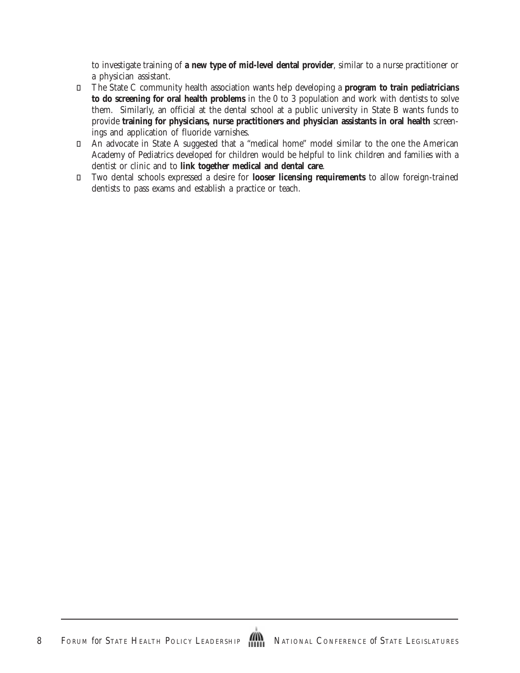to investigate training of **a new type of mid-level dental provider**, similar to a nurse practitioner or a physician assistant.

 The State C community health association wants help developing a **program to train pediatricians to do screening for oral health problems** in the 0 to 3 population and work with dentists to solve them. Similarly, an official at the dental school at a public university in State B wants funds to provide **training for physicians, nurse practitioners and physician assistants in oral health** screenings and application of fluoride varnishes.

 An advocate in State A suggested that a "medical home" model similar to the one the American Academy of Pediatrics developed for children would be helpful to link children and families with a dentist or clinic and to **link together medical and dental care**.

 Two dental schools expressed a desire for **looser licensing requirements** to allow foreign-trained dentists to pass exams and establish a practice or teach.

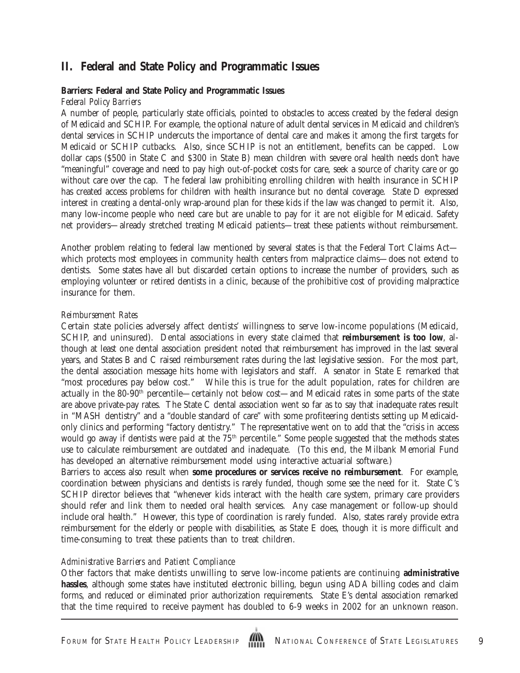# **II. Federal and State Policy and Programmatic Issues**

#### **Barriers: Federal and State Policy and Programmatic Issues** *Federal Policy Barriers*

A number of people, particularly state officials, pointed to obstacles to access created by the federal design of Medicaid and SCHIP. For example, the optional nature of adult dental services in Medicaid and children's dental services in SCHIP undercuts the importance of dental care and makes it among the first targets for Medicaid or SCHIP cutbacks. Also, since SCHIP is not an entitlement, benefits can be capped. Low dollar caps (\$500 in State C and \$300 in State B) mean children with severe oral health needs don't have "meaningful" coverage and need to pay high out-of-pocket costs for care, seek a source of charity care or go without care over the cap. The federal law prohibiting enrolling children with health insurance in SCHIP has created access problems for children with health insurance but no dental coverage. State D expressed interest in creating a dental-only wrap-around plan for these kids if the law was changed to permit it. Also, many low-income people who need care but are unable to pay for it are not eligible for Medicaid. Safety net providers—already stretched treating Medicaid patients—treat these patients without reimbursement.

Another problem relating to federal law mentioned by several states is that the Federal Tort Claims Act which protects most employees in community health centers from malpractice claims—does not extend to dentists. Some states have all but discarded certain options to increase the number of providers, such as employing volunteer or retired dentists in a clinic, because of the prohibitive cost of providing malpractice insurance for them.

#### *Reimbursement Rates*

Certain state policies adversely affect dentists' willingness to serve low-income populations (Medicaid, SCHIP, and uninsured). Dental associations in every state claimed that **reimbursement is too low**, although at least one dental association president noted that reimbursement has improved in the last several years, and States B and C raised reimbursement rates during the last legislative session. For the most part, the dental association message hits home with legislators and staff. A senator in State E remarked that "most procedures pay below cost." While this is true for the adult population, rates for children are actually in the 80-90<sup>th</sup> percentile—certainly not below cost—and Medicaid rates in some parts of the state are above private-pay rates. The State C dental association went so far as to say that inadequate rates result in "MASH dentistry" and a "double standard of care" with some profiteering dentists setting up Medicaidonly clinics and performing "factory dentistry." The representative went on to add that the "crisis in access would go away if dentists were paid at the 75<sup>th</sup> percentile." Some people suggested that the methods states use to calculate reimbursement are outdated and inadequate. (To this end, the Milbank Memorial Fund has developed an alternative reimbursement model using interactive actuarial software.)

Barriers to access also result when **some procedures or services receive no reimbursement**. For example, coordination between physicians and dentists is rarely funded, though some see the need for it. State C's SCHIP director believes that "whenever kids interact with the health care system, primary care providers should refer and link them to needed oral health services. Any case management or follow-up should include oral health." However, this type of coordination is rarely funded. Also, states rarely provide extra reimbursement for the elderly or people with disabilities, as State E does, though it is more difficult and time-consuming to treat these patients than to treat children.

#### *Administrative Barriers and Patient Compliance*

Other factors that make dentists unwilling to serve low-income patients are continuing **administrative hassles**, although some states have instituted electronic billing, begun using ADA billing codes and claim forms, and reduced or eliminated prior authorization requirements. State E's dental association remarked that the time required to receive payment has doubled to 6-9 weeks in 2002 for an unknown reason.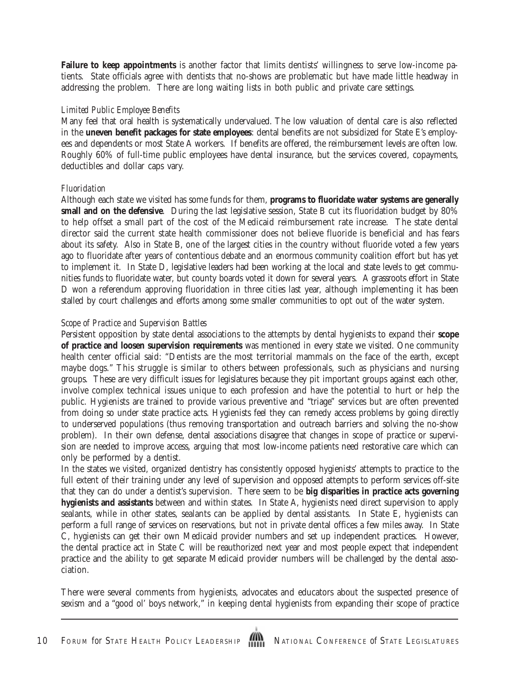**Failure to keep appointments** is another factor that limits dentists' willingness to serve low-income patients. State officials agree with dentists that no-shows are problematic but have made little headway in addressing the problem. There are long waiting lists in both public and private care settings.

#### *Limited Public Employee Benefits*

Many feel that oral health is systematically undervalued. The low valuation of dental care is also reflected in the **uneven benefit packages for state employees**: dental benefits are not subsidized for State E's employees and dependents or most State A workers. If benefits are offered, the reimbursement levels are often low. Roughly 60% of full-time public employees have dental insurance, but the services covered, copayments, deductibles and dollar caps vary.

#### *Fluoridation*

Although each state we visited has some funds for them, **programs to fluoridate water systems are generally small and on the defensive**. During the last legislative session, State B cut its fluoridation budget by 80% to help offset a small part of the cost of the Medicaid reimbursement rate increase. The state dental director said the current state health commissioner does not believe fluoride is beneficial and has fears about its safety. Also in State B, one of the largest cities in the country without fluoride voted a few years ago to fluoridate after years of contentious debate and an enormous community coalition effort but has yet to implement it. In State D, legislative leaders had been working at the local and state levels to get communities funds to fluoridate water, but county boards voted it down for several years. A grassroots effort in State D won a referendum approving fluoridation in three cities last year, although implementing it has been stalled by court challenges and efforts among some smaller communities to opt out of the water system.

### *Scope of Practice and Supervision Battles*

Persistent opposition by state dental associations to the attempts by dental hygienists to expand their **scope of practice and loosen supervision requirements** was mentioned in every state we visited. One community health center official said: "Dentists are the most territorial mammals on the face of the earth, except maybe dogs." This struggle is similar to others between professionals, such as physicians and nursing groups. These are very difficult issues for legislatures because they pit important groups against each other, involve complex technical issues unique to each profession and have the potential to hurt or help the public. Hygienists are trained to provide various preventive and "triage" services but are often prevented from doing so under state practice acts. Hygienists feel they can remedy access problems by going directly to underserved populations (thus removing transportation and outreach barriers and solving the no-show problem). In their own defense, dental associations disagree that changes in scope of practice or supervision are needed to improve access, arguing that most low-income patients need restorative care which can only be performed by a dentist.

In the states we visited, organized dentistry has consistently opposed hygienists' attempts to practice to the full extent of their training under any level of supervision and opposed attempts to perform services off-site that they can do under a dentist's supervision. There seem to be **big disparities in practice acts governing hygienists and assistants** between and within states. In State A, hygienists need direct supervision to apply sealants, while in other states, sealants can be applied by dental assistants. In State E, hygienists can perform a full range of services on reservations, but not in private dental offices a few miles away. In State C, hygienists can get their own Medicaid provider numbers and set up independent practices. However, the dental practice act in State C will be reauthorized next year and most people expect that independent practice and the ability to get separate Medicaid provider numbers will be challenged by the dental association.

There were several comments from hygienists, advocates and educators about the suspected presence of sexism and a "good ol' boys network," in keeping dental hygienists from expanding their scope of practice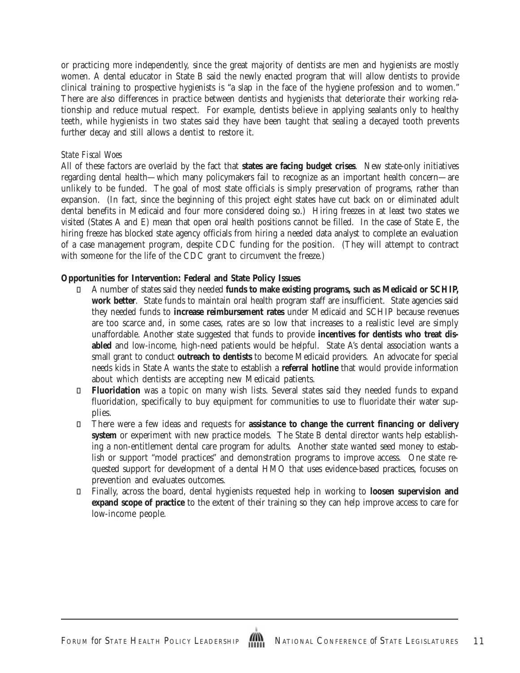or practicing more independently, since the great majority of dentists are men and hygienists are mostly women. A dental educator in State B said the newly enacted program that will allow dentists to provide clinical training to prospective hygienists is "a slap in the face of the hygiene profession and to women." There are also differences in practice between dentists and hygienists that deteriorate their working relationship and reduce mutual respect. For example, dentists believe in applying sealants only to healthy teeth, while hygienists in two states said they have been taught that sealing a decayed tooth prevents further decay and still allows a dentist to restore it.

#### *State Fiscal Woes*

All of these factors are overlaid by the fact that **states are facing budget crises**. New state-only initiatives regarding dental health—which many policymakers fail to recognize as an important health concern—are unlikely to be funded. The goal of most state officials is simply preservation of programs, rather than expansion. (In fact, since the beginning of this project eight states have cut back on or eliminated adult dental benefits in Medicaid and four more considered doing so.) Hiring freezes in at least two states we visited (States A and E) mean that open oral health positions cannot be filled. In the case of State E, the hiring freeze has blocked state agency officials from hiring a needed data analyst to complete an evaluation of a case management program, despite CDC funding for the position. (They will attempt to contract with someone for the life of the CDC grant to circumvent the freeze.)

#### **Opportunities for Intervention: Federal and State Policy Issues**

 A number of states said they needed **funds to make existing programs, such as Medicaid or SCHIP, work better**. State funds to maintain oral health program staff are insufficient. State agencies said they needed funds to **increase reimbursement rates** under Medicaid and SCHIP because revenues are too scarce and, in some cases, rates are so low that increases to a realistic level are simply unaffordable. Another state suggested that funds to provide **incentives for dentists who treat disabled** and low-income, high-need patients would be helpful. State A's dental association wants a small grant to conduct **outreach to dentists** to become Medicaid providers. An advocate for special needs kids in State A wants the state to establish a **referral hotline** that would provide information about which dentists are accepting new Medicaid patients.

 **Fluoridation** was a topic on many wish lists. Several states said they needed funds to expand fluoridation, specifically to buy equipment for communities to use to fluoridate their water supplies.

 There were a few ideas and requests for **assistance to change the current financing or delivery system** or experiment with new practice models. The State B dental director wants help establishing a non-entitlement dental care program for adults. Another state wanted seed money to establish or support "model practices" and demonstration programs to improve access. One state requested support for development of a dental HMO that uses evidence-based practices, focuses on prevention and evaluates outcomes.

 Finally, across the board, dental hygienists requested help in working to **loosen supervision and expand scope of practice** to the extent of their training so they can help improve access to care for low-income people.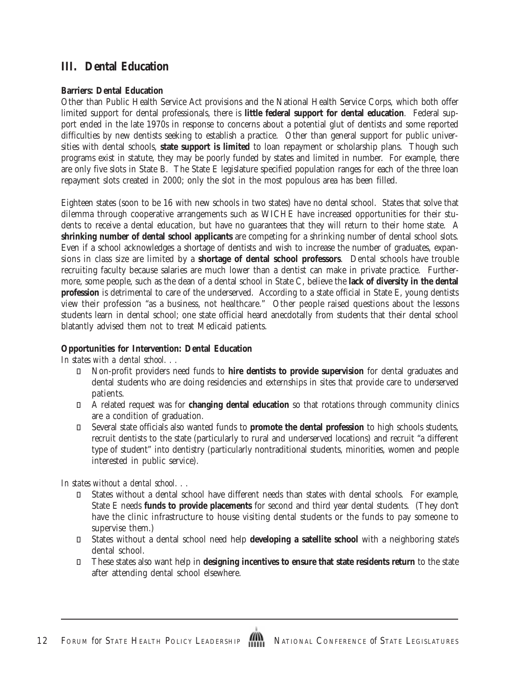### **III. Dental Education**

#### **Barriers: Dental Education**

Other than Public Health Service Act provisions and the National Health Service Corps, which both offer limited support for dental professionals, there is **little federal support for dental education**. Federal support ended in the late 1970s in response to concerns about a potential glut of dentists and some reported difficulties by new dentists seeking to establish a practice. Other than general support for public universities with dental schools, **state support is limited** to loan repayment or scholarship plans. Though such programs exist in statute, they may be poorly funded by states and limited in number. For example, there are only five slots in State B. The State E legislature specified population ranges for each of the three loan repayment slots created in 2000; only the slot in the most populous area has been filled.

Eighteen states (soon to be 16 with new schools in two states) have no dental school. States that solve that dilemma through cooperative arrangements such as WICHE have increased opportunities for their students to receive a dental education, but have no guarantees that they will return to their home state. A **shrinking number of dental school applicants** are competing for a shrinking number of dental school slots. Even if a school acknowledges a shortage of dentists and wish to increase the number of graduates, expansions in class size are limited by a **shortage of dental school professors**. Dental schools have trouble recruiting faculty because salaries are much lower than a dentist can make in private practice. Furthermore, some people, such as the dean of a dental school in State C, believe the **lack of diversity in the dental profession** is detrimental to care of the underserved. According to a state official in State E, young dentists view their profession "as a business, not healthcare." Other people raised questions about the lessons students learn in dental school; one state official heard anecdotally from students that their dental school blatantly advised them not to treat Medicaid patients.

#### **Opportunities for Intervention: Dental Education**

*In states with a dental school. . .*

 Non-profit providers need funds to **hire dentists to provide supervision** for dental graduates and dental students who are doing residencies and externships in sites that provide care to underserved patients.

 A related request was for **changing dental education** so that rotations through community clinics are a condition of graduation.

 Several state officials also wanted funds to **promote the dental profession** to high schools students, recruit dentists to the state (particularly to rural and underserved locations) and recruit "a different type of student" into dentistry (particularly nontraditional students, minorities, women and people interested in public service).

*In states without a dental school. . .*

 States without a dental school have different needs than states with dental schools. For example, State E needs **funds to provide placements** for second and third year dental students. (They don't have the clinic infrastructure to house visiting dental students or the funds to pay someone to supervise them.)

 States without a dental school need help **developing a satellite school** with a neighboring state's dental school.

 These states also want help in **designing incentives to ensure that state residents return** to the state after attending dental school elsewhere.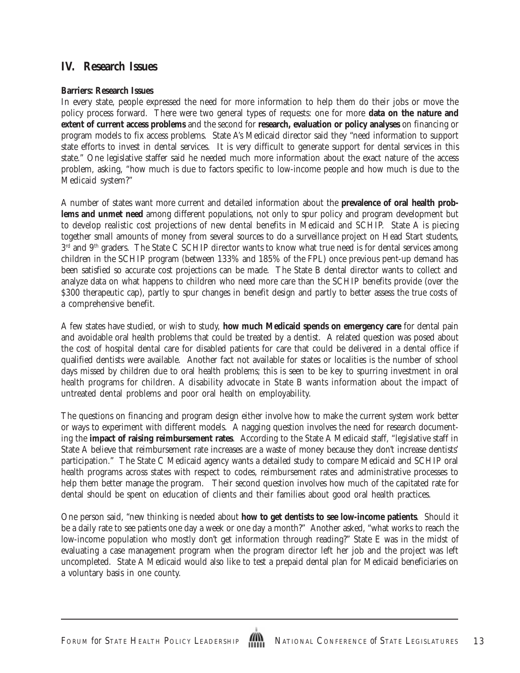### **IV. Research Issues**

#### **Barriers: Research Issues**

In every state, people expressed the need for more information to help them do their jobs or move the policy process forward. There were two general types of requests: one for more **data on the nature and extent of current access problems** and the second for **research, evaluation or policy analyses** on financing or program models to fix access problems. State A's Medicaid director said they "need information to support state efforts to invest in dental services. It is very difficult to generate support for dental services in this state." One legislative staffer said he needed much more information about the exact nature of the access problem, asking, "how much is due to factors specific to low-income people and how much is due to the Medicaid system?"

A number of states want more current and detailed information about the **prevalence of oral health problems and unmet need** among different populations, not only to spur policy and program development but to develop realistic cost projections of new dental benefits in Medicaid and SCHIP. State A is piecing together small amounts of money from several sources to do a surveillance project on Head Start students, 3<sup>rd</sup> and 9<sup>th</sup> graders. The State C SCHIP director wants to know what true need is for dental services among children in the SCHIP program (between 133% and 185% of the FPL) once previous pent-up demand has been satisfied so accurate cost projections can be made. The State B dental director wants to collect and analyze data on what happens to children who need more care than the SCHIP benefits provide (over the \$300 therapeutic cap), partly to spur changes in benefit design and partly to better assess the true costs of a comprehensive benefit.

A few states have studied, or wish to study, **how much Medicaid spends on emergency care** for dental pain and avoidable oral health problems that could be treated by a dentist. A related question was posed about the cost of hospital dental care for disabled patients for care that could be delivered in a dental office if qualified dentists were available. Another fact not available for states or localities is the number of school days missed by children due to oral health problems; this is seen to be key to spurring investment in oral health programs for children. A disability advocate in State B wants information about the impact of untreated dental problems and poor oral health on employability.

The questions on financing and program design either involve how to make the current system work better or ways to experiment with different models. A nagging question involves the need for research documenting the **impact of raising reimbursement rates**. According to the State A Medicaid staff, "legislative staff in State A believe that reimbursement rate increases are a waste of money because they don't increase dentists' participation." The State C Medicaid agency wants a detailed study to compare Medicaid and SCHIP oral health programs across states with respect to codes, reimbursement rates and administrative processes to help them better manage the program. Their second question involves how much of the capitated rate for dental should be spent on education of clients and their families about good oral health practices.

One person said, "new thinking is needed about **how to get dentists to see low-income patients**. Should it be a daily rate to see patients one day a week or one day a month?" Another asked, "what works to reach the low-income population who mostly don't get information through reading?" State E was in the midst of evaluating a case management program when the program director left her job and the project was left uncompleted. State A Medicaid would also like to test a prepaid dental plan for Medicaid beneficiaries on a voluntary basis in one county.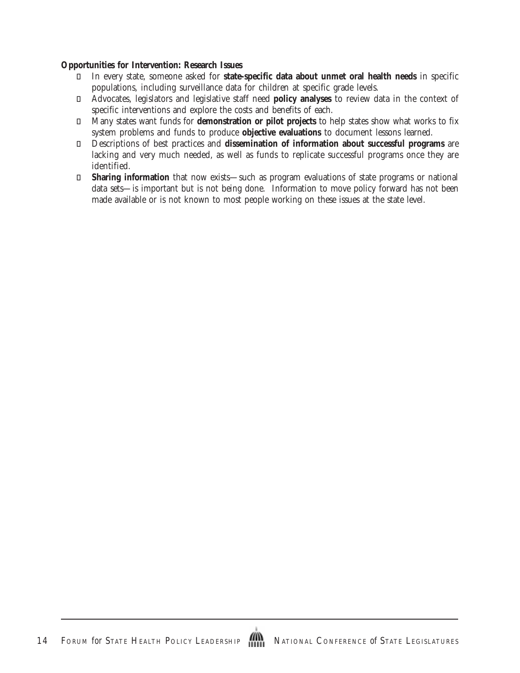#### **Opportunities for Intervention: Research Issues**

 In every state, someone asked for **state-specific data about unmet oral health needs** in specific populations, including surveillance data for children at specific grade levels.

 Advocates, legislators and legislative staff need **policy analyses** to review data in the context of specific interventions and explore the costs and benefits of each.

 Many states want funds for **demonstration or pilot projects** to help states show what works to fix system problems and funds to produce **objective evaluations** to document lessons learned.

 Descriptions of best practices and **dissemination of information about successful programs** are lacking and very much needed, as well as funds to replicate successful programs once they are identified.

 **Sharing information** that now exists—such as program evaluations of state programs or national data sets—is important but is not being done. Information to move policy forward has not been made available or is not known to most people working on these issues at the state level.

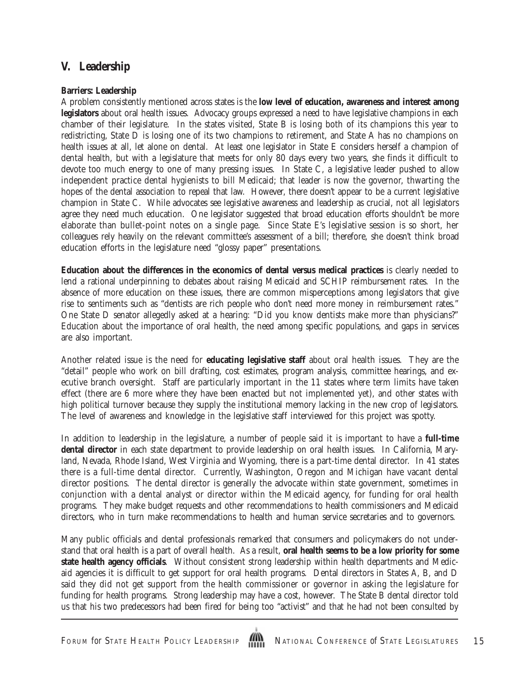### **V. Leadership**

#### **Barriers: Leadership**

A problem consistently mentioned across states is the **low level of education, awareness and interest among legislators** about oral health issues. Advocacy groups expressed a need to have legislative champions in each chamber of their legislature. In the states visited, State B is losing both of its champions this year to redistricting, State D is losing one of its two champions to retirement, and State A has no champions on health issues at all, let alone on dental. At least one legislator in State E considers herself a champion of dental health, but with a legislature that meets for only 80 days every two years, she finds it difficult to devote too much energy to one of many pressing issues. In State C, a legislative leader pushed to allow independent practice dental hygienists to bill Medicaid; that leader is now the governor, thwarting the hopes of the dental association to repeal that law. However, there doesn't appear to be a current legislative champion in State C. While advocates see legislative awareness and leadership as crucial, not all legislators agree they need much education. One legislator suggested that broad education efforts shouldn't be more elaborate than bullet-point notes on a single page. Since State E's legislative session is so short, her colleagues rely heavily on the relevant committee's assessment of a bill; therefore, she doesn't think broad education efforts in the legislature need "glossy paper" presentations.

**Education about the differences in the economics of dental versus medical practices** is clearly needed to lend a rational underpinning to debates about raising Medicaid and SCHIP reimbursement rates. In the absence of more education on these issues, there are common misperceptions among legislators that give rise to sentiments such as "dentists are rich people who don't need more money in reimbursement rates." One State D senator allegedly asked at a hearing: "Did you know dentists make more than physicians?" Education about the importance of oral health, the need among specific populations, and gaps in services are also important.

Another related issue is the need for **educating legislative staff** about oral health issues. They are the "detail" people who work on bill drafting, cost estimates, program analysis, committee hearings, and executive branch oversight. Staff are particularly important in the 11 states where term limits have taken effect (there are 6 more where they have been enacted but not implemented yet), and other states with high political turnover because they supply the institutional memory lacking in the new crop of legislators. The level of awareness and knowledge in the legislative staff interviewed for this project was spotty.

In addition to leadership in the legislature, a number of people said it is important to have a **full-time dental director** in each state department to provide leadership on oral health issues. In California, Maryland, Nevada, Rhode Island, West Virginia and Wyoming, there is a part-time dental director. In 41 states there is a full-time dental director. Currently, Washington, Oregon and Michigan have vacant dental director positions. The dental director is generally the advocate within state government, sometimes in conjunction with a dental analyst or director within the Medicaid agency, for funding for oral health programs. They make budget requests and other recommendations to health commissioners and Medicaid directors, who in turn make recommendations to health and human service secretaries and to governors.

Many public officials and dental professionals remarked that consumers and policymakers do not understand that oral health is a part of overall health. As a result, **oral health seems to be a low priority for some state health agency officials**. Without consistent strong leadership within health departments and Medicaid agencies it is difficult to get support for oral health programs. Dental directors in States A, B, and D said they did not get support from the health commissioner or governor in asking the legislature for funding for health programs. Strong leadership may have a cost, however. The State B dental director told us that his two predecessors had been fired for being too "activist" and that he had not been consulted by

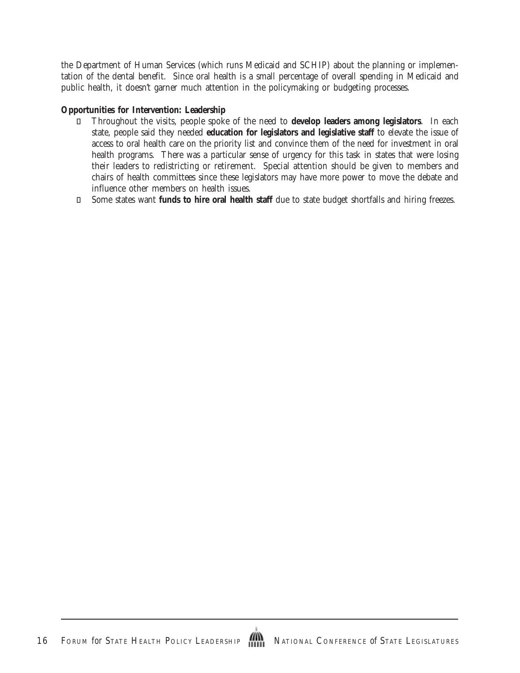the Department of Human Services (which runs Medicaid and SCHIP) about the planning or implementation of the dental benefit. Since oral health is a small percentage of overall spending in Medicaid and public health, it doesn't garner much attention in the policymaking or budgeting processes.

#### **Opportunities for Intervention: Leadership**

 Throughout the visits, people spoke of the need to **develop leaders among legislators**. In each state, people said they needed **education for legislators and legislative staff** to elevate the issue of access to oral health care on the priority list and convince them of the need for investment in oral health programs. There was a particular sense of urgency for this task in states that were losing their leaders to redistricting or retirement. Special attention should be given to members and chairs of health committees since these legislators may have more power to move the debate and influence other members on health issues.

Some states want **funds to hire oral health staff** due to state budget shortfalls and hiring freezes.

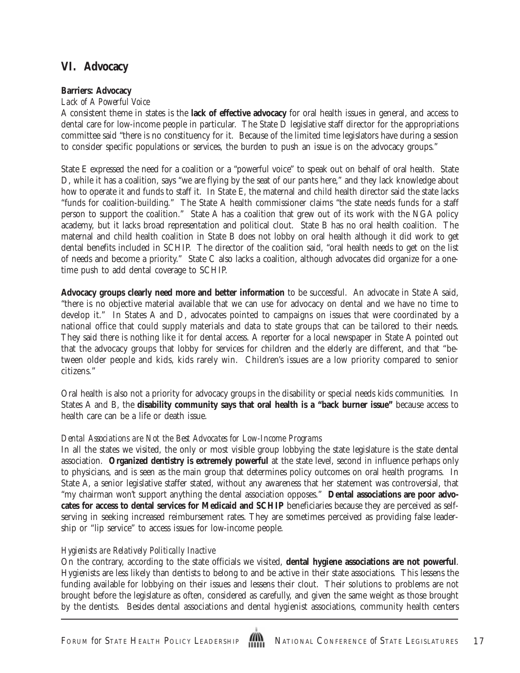# **VI. Advocacy**

#### **Barriers: Advocacy**

#### *Lack of A Powerful Voice*

A consistent theme in states is the **lack of effective advocacy** for oral health issues in general, and access to dental care for low-income people in particular. The State D legislative staff director for the appropriations committee said "there is no constituency for it. Because of the limited time legislators have during a session to consider specific populations or services, the burden to push an issue is on the advocacy groups."

State E expressed the need for a coalition or a "powerful voice" to speak out on behalf of oral health. State D, while it has a coalition, says "we are flying by the seat of our pants here," and they lack knowledge about how to operate it and funds to staff it. In State E, the maternal and child health director said the state lacks "funds for coalition-building." The State A health commissioner claims "the state needs funds for a staff person to support the coalition." State A has a coalition that grew out of its work with the NGA policy academy, but it lacks broad representation and political clout. State B has no oral health coalition. The maternal and child health coalition in State B does not lobby on oral health although it did work to get dental benefits included in SCHIP. The director of the coalition said, "oral health needs to get on the list of needs and become a priority." State C also lacks a coalition, although advocates did organize for a onetime push to add dental coverage to SCHIP.

**Advocacy groups clearly need more and better information** to be successful. An advocate in State A said, "there is no objective material available that we can use for advocacy on dental and we have no time to develop it." In States A and D, advocates pointed to campaigns on issues that were coordinated by a national office that could supply materials and data to state groups that can be tailored to their needs. They said there is nothing like it for dental access. A reporter for a local newspaper in State A pointed out that the advocacy groups that lobby for services for children and the elderly are different, and that "between older people and kids, kids rarely win. Children's issues are a low priority compared to senior citizens."

Oral health is also not a priority for advocacy groups in the disability or special needs kids communities. In States A and B, the **disability community says that oral health is a "back burner issue"** because access to health care can be a life or death issue.

### *Dental Associations are Not the Best Advocates for Low-Income Programs*

In all the states we visited, the only or most visible group lobbying the state legislature is the state dental association. **Organized dentistry is extremely powerful** at the state level, second in influence perhaps only to physicians, and is seen as the main group that determines policy outcomes on oral health programs. In State A, a senior legislative staffer stated, without any awareness that her statement was controversial, that "my chairman won't support anything the dental association opposes." **Dental associations are poor advocates for access to dental services for Medicaid and SCHIP** beneficiaries because they are perceived as selfserving in seeking increased reimbursement rates. They are sometimes perceived as providing false leadership or "lip service" to access issues for low-income people.

### *Hygienists are Relatively Politically Inactive*

On the contrary, according to the state officials we visited, **dental hygiene associations are not powerful**. Hygienists are less likely than dentists to belong to and be active in their state associations. This lessens the funding available for lobbying on their issues and lessens their clout. Their solutions to problems are not brought before the legislature as often, considered as carefully, and given the same weight as those brought by the dentists. Besides dental associations and dental hygienist associations, community health centers

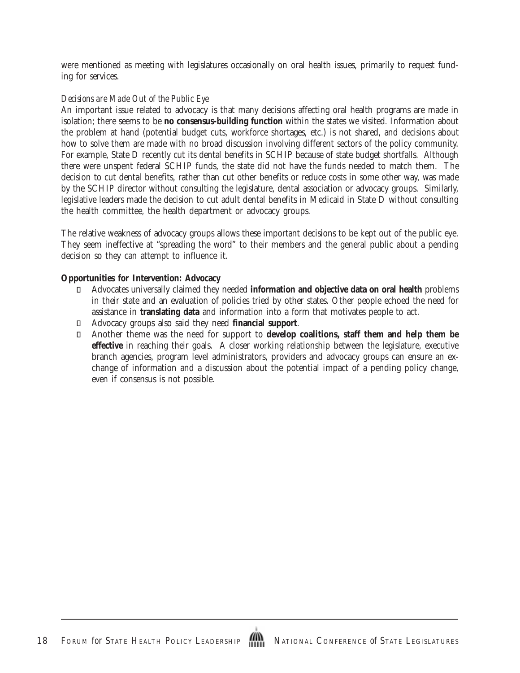were mentioned as meeting with legislatures occasionally on oral health issues, primarily to request funding for services.

#### *Decisions are Made Out of the Public Eye*

An important issue related to advocacy is that many decisions affecting oral health programs are made in isolation; there seems to be **no consensus-building function** within the states we visited. Information about the problem at hand (potential budget cuts, workforce shortages, etc.) is not shared, and decisions about how to solve them are made with no broad discussion involving different sectors of the policy community. For example, State D recently cut its dental benefits in SCHIP because of state budget shortfalls. Although there were unspent federal SCHIP funds, the state did not have the funds needed to match them. The decision to cut dental benefits, rather than cut other benefits or reduce costs in some other way, was made by the SCHIP director without consulting the legislature, dental association or advocacy groups. Similarly, legislative leaders made the decision to cut adult dental benefits in Medicaid in State D without consulting the health committee, the health department or advocacy groups.

The relative weakness of advocacy groups allows these important decisions to be kept out of the public eye. They seem ineffective at "spreading the word" to their members and the general public about a pending decision so they can attempt to influence it.

#### **Opportunities for Intervention: Advocacy**

 Advocates universally claimed they needed **information and objective data on oral health** problems in their state and an evaluation of policies tried by other states. Other people echoed the need for assistance in **translating data** and information into a form that motivates people to act. Advocacy groups also said they need **financial support**.

 Another theme was the need for support to **develop coalitions, staff them and help them be effective** in reaching their goals. A closer working relationship between the legislature, executive branch agencies, program level administrators, providers and advocacy groups can ensure an exchange of information and a discussion about the potential impact of a pending policy change, even if consensus is not possible.

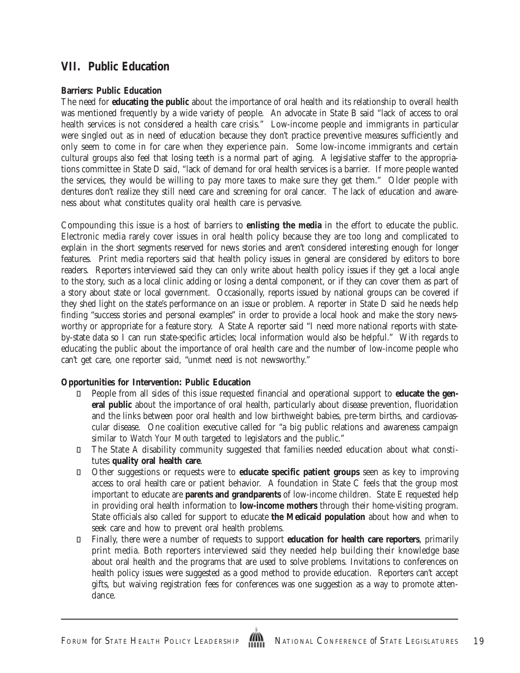### **VII. Public Education**

#### **Barriers: Public Education**

The need for **educating the public** about the importance of oral health and its relationship to overall health was mentioned frequently by a wide variety of people. An advocate in State B said "lack of access to oral health services is not considered a health care crisis." Low-income people and immigrants in particular were singled out as in need of education because they don't practice preventive measures sufficiently and only seem to come in for care when they experience pain. Some low-income immigrants and certain cultural groups also feel that losing teeth is a normal part of aging. A legislative staffer to the appropriations committee in State D said, "lack of demand for oral health services is a barrier. If more people wanted the services, they would be willing to pay more taxes to make sure they get them." Older people with dentures don't realize they still need care and screening for oral cancer. The lack of education and awareness about what constitutes quality oral health care is pervasive.

Compounding this issue is a host of barriers to **enlisting the media** in the effort to educate the public. Electronic media rarely cover issues in oral health policy because they are too long and complicated to explain in the short segments reserved for news stories and aren't considered interesting enough for longer features. Print media reporters said that health policy issues in general are considered by editors to bore readers. Reporters interviewed said they can only write about health policy issues if they get a local angle to the story, such as a local clinic adding or losing a dental component, or if they can cover them as part of a story about state or local government. Occasionally, reports issued by national groups can be covered if they shed light on the state's performance on an issue or problem. A reporter in State D said he needs help finding "success stories and personal examples" in order to provide a local hook and make the story newsworthy or appropriate for a feature story. A State A reporter said "I need more national reports with stateby-state data so I can run state-specific articles; local information would also be helpful." With regards to educating the public about the importance of oral health care and the number of low-income people who can't get care, one reporter said, "unmet need is not newsworthy."

### **Opportunities for Intervention: Public Education**

 People from all sides of this issue requested financial and operational support to **educate the general public** about the importance of oral health, particularly about disease prevention, fluoridation and the links between poor oral health and low birthweight babies, pre-term births, and cardiovascular disease. One coalition executive called for "a big public relations and awareness campaign similar to *Watch Your Mouth* targeted to legislators and the public."

 The State A disability community suggested that families needed education about what constitutes **quality oral health care**.

 Other suggestions or requests were to **educate specific patient groups** seen as key to improving access to oral health care or patient behavior. A foundation in State C feels that the group most important to educate are **parents and grandparents** of low-income children. State E requested help in providing oral health information to **low-income mothers** through their home-visiting program. State officials also called for support to educate **the Medicaid population** about how and when to seek care and how to prevent oral health problems.

 Finally, there were a number of requests to support **education for health care reporters**, primarily print media. Both reporters interviewed said they needed help building their knowledge base about oral health and the programs that are used to solve problems. Invitations to conferences on health policy issues were suggested as a good method to provide education. Reporters can't accept gifts, but waiving registration fees for conferences was one suggestion as a way to promote attendance.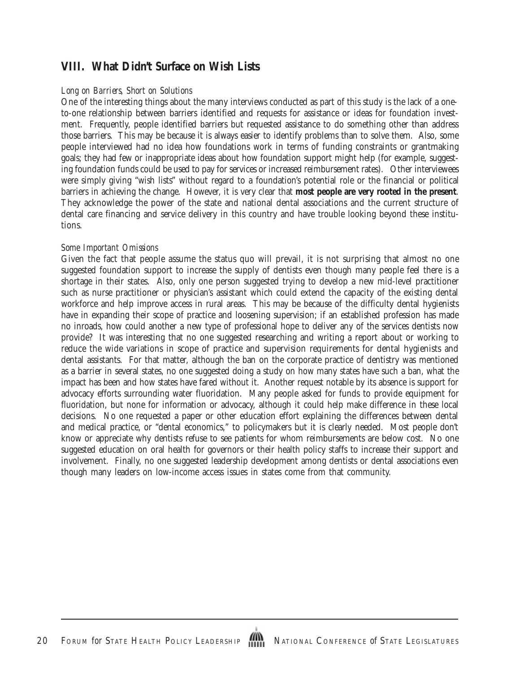# **VIII. What Didn't Surface on Wish Lists**

#### *Long on Barriers, Short on Solutions*

One of the interesting things about the many interviews conducted as part of this study is the lack of a oneto-one relationship between barriers identified and requests for assistance or ideas for foundation investment. Frequently, people identified barriers but requested assistance to do something other than address those barriers. This may be because it is always easier to identify problems than to solve them. Also, some people interviewed had no idea how foundations work in terms of funding constraints or grantmaking goals; they had few or inappropriate ideas about how foundation support might help (for example, suggesting foundation funds could be used to pay for services or increased reimbursement rates). Other interviewees were simply giving "wish lists" without regard to a foundation's potential role or the financial or political barriers in achieving the change. However, it is very clear that **most people are very rooted in the present**. They acknowledge the power of the state and national dental associations and the current structure of dental care financing and service delivery in this country and have trouble looking beyond these institutions.

#### *Some Important Omissions*

Given the fact that people assume the status quo will prevail, it is not surprising that almost no one suggested foundation support to increase the supply of dentists even though many people feel there is a shortage in their states. Also, only one person suggested trying to develop a new mid-level practitioner such as nurse practitioner or physician's assistant which could extend the capacity of the existing dental workforce and help improve access in rural areas. This may be because of the difficulty dental hygienists have in expanding their scope of practice and loosening supervision; if an established profession has made no inroads, how could another a new type of professional hope to deliver any of the services dentists now provide? It was interesting that no one suggested researching and writing a report about or working to reduce the wide variations in scope of practice and supervision requirements for dental hygienists and dental assistants. For that matter, although the ban on the corporate practice of dentistry was mentioned as a barrier in several states, no one suggested doing a study on how many states have such a ban, what the impact has been and how states have fared without it. Another request notable by its absence is support for advocacy efforts surrounding water fluoridation. Many people asked for funds to provide equipment for fluoridation, but none for information or advocacy, although it could help make difference in these local decisions. No one requested a paper or other education effort explaining the differences between dental and medical practice, or "dental economics," to policymakers but it is clearly needed. Most people don't know or appreciate why dentists refuse to see patients for whom reimbursements are below cost. No one suggested education on oral health for governors or their health policy staffs to increase their support and involvement. Finally, no one suggested leadership development among dentists or dental associations even though many leaders on low-income access issues in states come from that community.

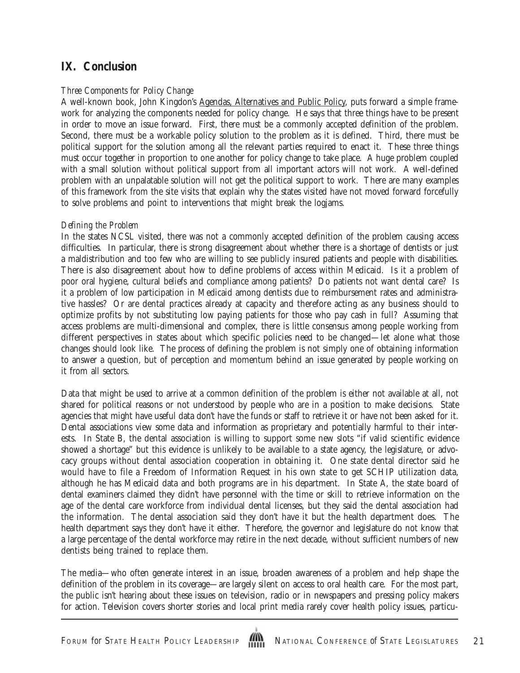# **IX. Conclusion**

#### *Three Components for Policy Change*

A well-known book, John Kingdon's Agendas, Alternatives and Public Policy, puts forward a simple framework for analyzing the components needed for policy change. He says that three things have to be present in order to move an issue forward. First, there must be a commonly accepted definition of the problem. Second, there must be a workable policy solution to the problem as it is defined. Third, there must be political support for the solution among all the relevant parties required to enact it. These three things must occur together in proportion to one another for policy change to take place. A huge problem coupled with a small solution without political support from all important actors will not work. A well-defined problem with an unpalatable solution will not get the political support to work. There are many examples of this framework from the site visits that explain why the states visited have not moved forward forcefully to solve problems and point to interventions that might break the logjams.

#### *Defining the Problem*

In the states NCSL visited, there was not a commonly accepted definition of the problem causing access difficulties. In particular, there is strong disagreement about whether there is a shortage of dentists or just a maldistribution and too few who are willing to see publicly insured patients and people with disabilities. There is also disagreement about how to define problems of access within Medicaid. Is it a problem of poor oral hygiene, cultural beliefs and compliance among patients? Do patients not want dental care? Is it a problem of low participation in Medicaid among dentists due to reimbursement rates and administrative hassles? Or are dental practices already at capacity and therefore acting as any business should to optimize profits by not substituting low paying patients for those who pay cash in full? Assuming that access problems are multi-dimensional and complex, there is little consensus among people working from different perspectives in states about which specific policies need to be changed—let alone what those changes should look like. The process of defining the problem is not simply one of obtaining information to answer a question, but of perception and momentum behind an issue generated by people working on it from all sectors.

Data that might be used to arrive at a common definition of the problem is either not available at all, not shared for political reasons or not understood by people who are in a position to make decisions. State agencies that might have useful data don't have the funds or staff to retrieve it or have not been asked for it. Dental associations view some data and information as proprietary and potentially harmful to their interests. In State B, the dental association is willing to support some new slots "if valid scientific evidence showed a shortage" but this evidence is unlikely to be available to a state agency, the legislature, or advocacy groups without dental association cooperation in obtaining it. One state dental director said he would have to file a Freedom of Information Request in his own state to get SCHIP utilization data, although he has Medicaid data and both programs are in his department. In State A, the state board of dental examiners claimed they didn't have personnel with the time or skill to retrieve information on the age of the dental care workforce from individual dental licenses, but they said the dental association had the information. The dental association said they don't have it but the health department does. The health department says they don't have it either. Therefore, the governor and legislature do not know that a large percentage of the dental workforce may retire in the next decade, without sufficient numbers of new dentists being trained to replace them.

The media—who often generate interest in an issue, broaden awareness of a problem and help shape the definition of the problem in its coverage—are largely silent on access to oral health care. For the most part, the public isn't hearing about these issues on television, radio or in newspapers and pressing policy makers for action. Television covers shorter stories and local print media rarely cover health policy issues, particu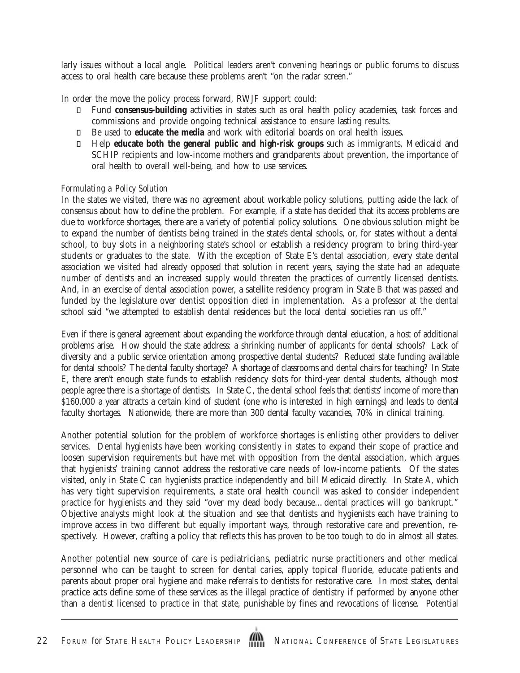larly issues without a local angle. Political leaders aren't convening hearings or public forums to discuss access to oral health care because these problems aren't "on the radar screen."

In order the move the policy process forward, RWJF support could:

 Fund **consensus-building** activities in states such as oral health policy academies, task forces and commissions and provide ongoing technical assistance to ensure lasting results.

Be used to **educate the media** and work with editorial boards on oral health issues.

 Help **educate both the general public and high-risk groups** such as immigrants, Medicaid and SCHIP recipients and low-income mothers and grandparents about prevention, the importance of oral health to overall well-being, and how to use services.

#### *Formulating a Policy Solution*

In the states we visited, there was no agreement about workable policy solutions, putting aside the lack of consensus about how to define the problem. For example, if a state has decided that its access problems are due to workforce shortages, there are a variety of potential policy solutions. One obvious solution might be to expand the number of dentists being trained in the state's dental schools, or, for states without a dental school, to buy slots in a neighboring state's school or establish a residency program to bring third-year students or graduates to the state. With the exception of State E's dental association, every state dental association we visited had already opposed that solution in recent years, saying the state had an adequate number of dentists and an increased supply would threaten the practices of currently licensed dentists. And, in an exercise of dental association power, a satellite residency program in State B that was passed and funded by the legislature over dentist opposition died in implementation. As a professor at the dental school said "we attempted to establish dental residences but the local dental societies ran us off."

Even if there is general agreement about expanding the workforce through dental education, a host of additional problems arise. How should the state address: a shrinking number of applicants for dental schools? Lack of diversity and a public service orientation among prospective dental students? Reduced state funding available for dental schools? The dental faculty shortage? A shortage of classrooms and dental chairs for teaching? In State E, there aren't enough state funds to establish residency slots for third-year dental students, although most people agree there is a shortage of dentists. In State C, the dental school feels that dentists' income of more than \$160,000 a year attracts a certain kind of student (one who is interested in high earnings) and leads to dental faculty shortages. Nationwide, there are more than 300 dental faculty vacancies, 70% in clinical training.

Another potential solution for the problem of workforce shortages is enlisting other providers to deliver services. Dental hygienists have been working consistently in states to expand their scope of practice and loosen supervision requirements but have met with opposition from the dental association, which argues that hygienists' training cannot address the restorative care needs of low-income patients. Of the states visited, only in State C can hygienists practice independently and bill Medicaid directly. In State A, which has very tight supervision requirements, a state oral health council was asked to consider independent practice for hygienists and they said "over my dead body because…dental practices will go bankrupt." Objective analysts might look at the situation and see that dentists and hygienists each have training to improve access in two different but equally important ways, through restorative care and prevention, respectively. However, crafting a policy that reflects this has proven to be too tough to do in almost all states.

Another potential new source of care is pediatricians, pediatric nurse practitioners and other medical personnel who can be taught to screen for dental caries, apply topical fluoride, educate patients and parents about proper oral hygiene and make referrals to dentists for restorative care. In most states, dental practice acts define some of these services as the illegal practice of dentistry if performed by anyone other than a dentist licensed to practice in that state, punishable by fines and revocations of license. Potential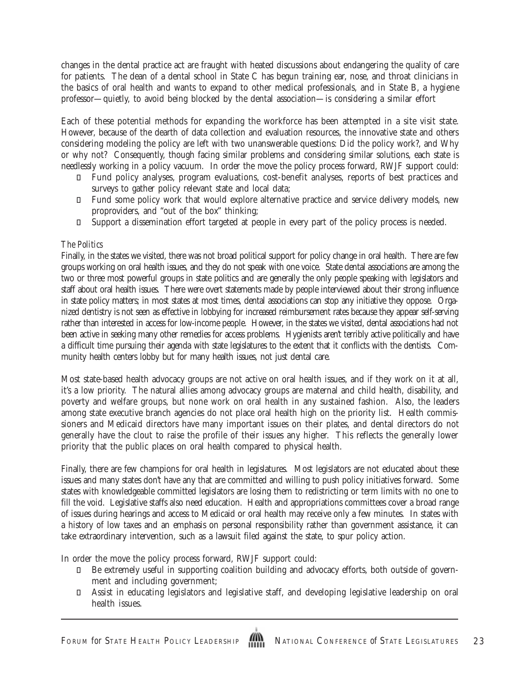changes in the dental practice act are fraught with heated discussions about endangering the quality of care for patients. The dean of a dental school in State C has begun training ear, nose, and throat clinicians in the basics of oral health and wants to expand to other medical professionals, and in State B, a hygiene professor—quietly, to avoid being blocked by the dental association—is considering a similar effort

Each of these potential methods for expanding the workforce has been attempted in a site visit state. However, because of the dearth of data collection and evaluation resources, the innovative state and others considering modeling the policy are left with two unanswerable questions: Did the policy work?, and Why or why not? Consequently, though facing similar problems and considering similar solutions, each state is needlessly working in a policy vacuum. In order the move the policy process forward, RWJF support could:

 Fund policy analyses, program evaluations, cost-benefit analyses, reports of best practices and surveys to gather policy relevant state and local data;

 Fund some policy work that would explore alternative practice and service delivery models, new proproviders, and "out of the box" thinking;

Support a dissemination effort targeted at people in every part of the policy process is needed.

#### *The Politics*

Finally, in the states we visited, there was not broad political support for policy change in oral health. There are few groups working on oral health issues, and they do not speak with one voice. State dental associations are among the two or three most powerful groups in state politics and are generally the only people speaking with legislators and staff about oral health issues. There were overt statements made by people interviewed about their strong influence in state policy matters; in most states at most times, dental associations can stop any initiative they oppose. Organized dentistry is not seen as effective in lobbying for increased reimbursement rates because they appear self-serving rather than interested in access for low-income people. However, in the states we visited, dental associations had not been active in seeking many other remedies for access problems. Hygienists aren't terribly active politically and have a difficult time pursuing their agenda with state legislatures to the extent that it conflicts with the dentists. Community health centers lobby but for many health issues, not just dental care.

Most state-based health advocacy groups are not active on oral health issues, and if they work on it at all, it's a low priority. The natural allies among advocacy groups are maternal and child health, disability, and poverty and welfare groups, but none work on oral health in any sustained fashion. Also, the leaders among state executive branch agencies do not place oral health high on the priority list. Health commissioners and Medicaid directors have many important issues on their plates, and dental directors do not generally have the clout to raise the profile of their issues any higher. This reflects the generally lower priority that the public places on oral health compared to physical health.

Finally, there are few champions for oral health in legislatures. Most legislators are not educated about these issues and many states don't have any that are committed and willing to push policy initiatives forward. Some states with knowledgeable committed legislators are losing them to redistricting or term limits with no one to fill the void. Legislative staffs also need education. Health and appropriations committees cover a broad range of issues during hearings and access to Medicaid or oral health may receive only a few minutes. In states with a history of low taxes and an emphasis on personal responsibility rather than government assistance, it can take extraordinary intervention, such as a lawsuit filed against the state, to spur policy action.

In order the move the policy process forward, RWJF support could:

 Be extremely useful in supporting coalition building and advocacy efforts, both outside of government and including government;

 Assist in educating legislators and legislative staff, and developing legislative leadership on oral health issues.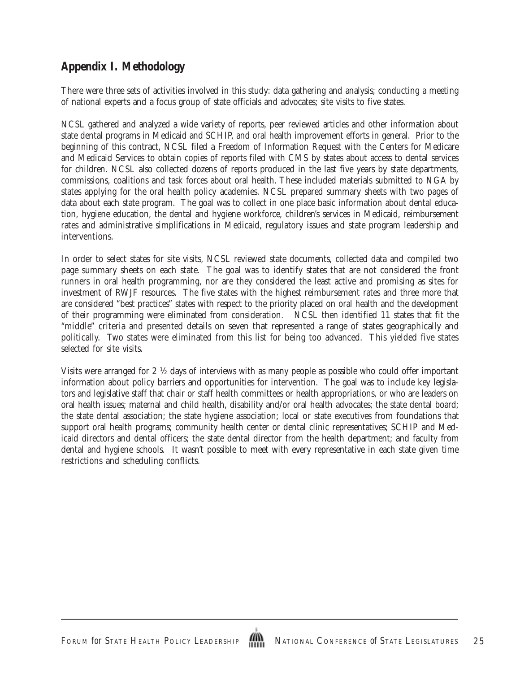# **Appendix I. Methodology**

There were three sets of activities involved in this study: data gathering and analysis; conducting a meeting of national experts and a focus group of state officials and advocates; site visits to five states.

NCSL gathered and analyzed a wide variety of reports, peer reviewed articles and other information about state dental programs in Medicaid and SCHIP, and oral health improvement efforts in general. Prior to the beginning of this contract, NCSL filed a Freedom of Information Request with the Centers for Medicare and Medicaid Services to obtain copies of reports filed with CMS by states about access to dental services for children. NCSL also collected dozens of reports produced in the last five years by state departments, commissions, coalitions and task forces about oral health. These included materials submitted to NGA by states applying for the oral health policy academies. NCSL prepared summary sheets with two pages of data about each state program. The goal was to collect in one place basic information about dental education, hygiene education, the dental and hygiene workforce, children's services in Medicaid, reimbursement rates and administrative simplifications in Medicaid, regulatory issues and state program leadership and interventions.

In order to select states for site visits, NCSL reviewed state documents, collected data and compiled two page summary sheets on each state. The goal was to identify states that are not considered the front runners in oral health programming, nor are they considered the least active and promising as sites for investment of RWJF resources. The five states with the highest reimbursement rates and three more that are considered "best practices" states with respect to the priority placed on oral health and the development of their programming were eliminated from consideration. NCSL then identified 11 states that fit the "middle" criteria and presented details on seven that represented a range of states geographically and politically. Two states were eliminated from this list for being too advanced. This yielded five states selected for site visits.

Visits were arranged for 2 ½ days of interviews with as many people as possible who could offer important information about policy barriers and opportunities for intervention. The goal was to include key legislators and legislative staff that chair or staff health committees or health appropriations, or who are leaders on oral health issues; maternal and child health, disability and/or oral health advocates; the state dental board; the state dental association; the state hygiene association; local or state executives from foundations that support oral health programs; community health center or dental clinic representatives; SCHIP and Medicaid directors and dental officers; the state dental director from the health department; and faculty from dental and hygiene schools. It wasn't possible to meet with every representative in each state given time restrictions and scheduling conflicts.